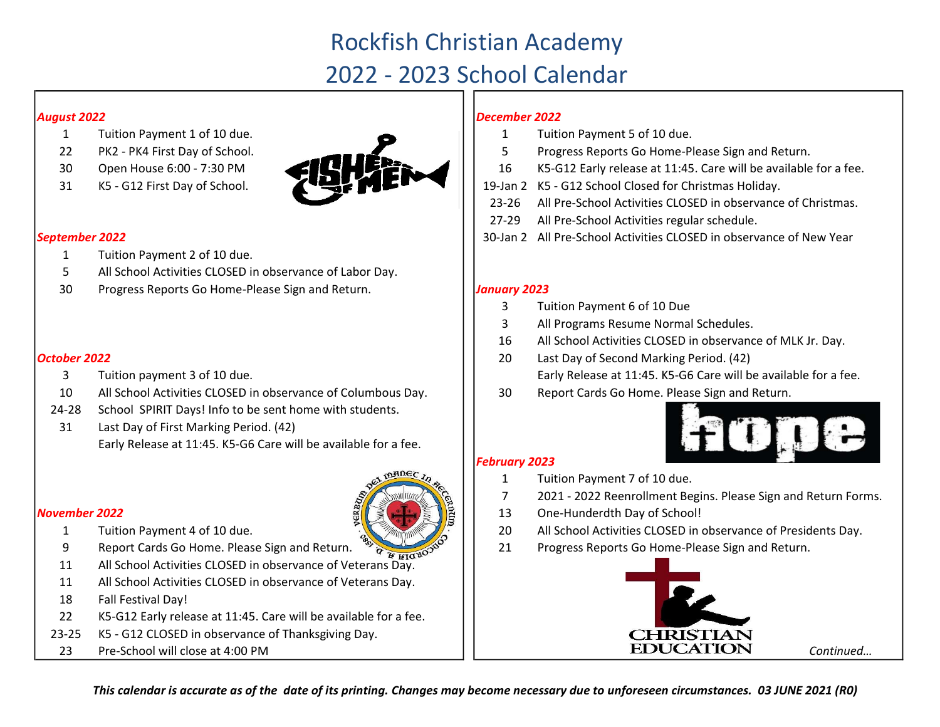# Rockfish Christian Academy 2022 - 2023 School Calendar

#### August 2022

- 
- 
- 
- 



#### September 2022

- 1 Tuition Payment 2 of 10 due.
- 5 All School Activities CLOSED in observance of Labor Day.
- 30 Progress Reports Go Home-Please Sign and Return. **Juliet State Sign and Return.** Juliet 2023

### October 2022 **2022** 2023 2023 2024 2022 2023 2024 2022 2023 2024 2022 2023 2024 2022 2023

- 3 Tuition payment 3 of 10 due.
- 10 All School Activities CLOSED in observance of Columbous Day. | | 30
- 24-28 School SPIRIT Days! Info to be sent home with students.
- 31 Last Day of First Marking Period. (42) Early Release at 11:45. K5-G6 Care will be available for a fee.

### November 2022



- 1 Tuition Payment 4 of 10 due.
- 9 Report Cards Go Home. Please Sign and Return.  $\frac{w}{q}$
- 11 All School Activities CLOSED in observance of Veterans Day.
- 11 All School Activities CLOSED in observance of Veterans Day.
- 18 Fall Festival Day!
- 22 K5-G12 Early release at 11:45. Care will be available for a fee.
- 23-25 K5 - G12 CLOSED in observance of Thanksgiving Day.
- 23 Pre-School will close at 4:00 PM

# December 2022

- Tuition Payment 5 of 10 due.
- Progress Reports Go Home-Please Sign and Return.
- K5-G12 Early release at 11:45. Care will be available for a fee.
- 19-Jan 2 K5 G12 School Closed for Christmas Holiday.
- 23-26 All Pre-School Activities CLOSED in observance of Christmas.
- 27-29 All Pre-School Activities regular schedule.
- 30-Jan 2 All Pre-School Activities CLOSED in observance of New Year

- 3 Tuition Payment 6 of 10 Due
- 3 All Programs Resume Normal Schedules.
- 16 All School Activities CLOSED in observance of MLK Jr. Day.
- Last Day of Second Marking Period. (42) Early Release at 11:45. K5-G6 Care will be available for a fee.
- Report Cards Go Home. Please Sign and Return.



# February 2023

- 1 Tuition Payment 7 of 10 due.
- 7 2021 - 2022 Reenrollment Begins. Please Sign and Return Forms.
- 13 One-Hunderdth Day of School!
- All School Activities CLOSED in observance of Presidents Day.
- Progress Reports Go Home-Please Sign and Return.



Continued…